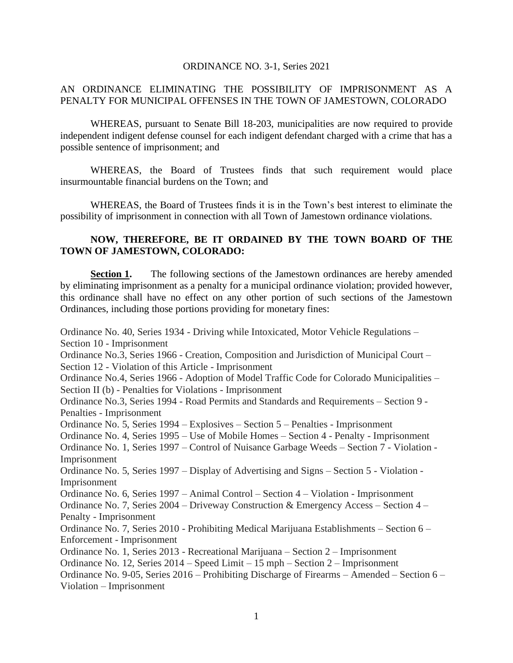## ORDINANCE NO. 3-1, Series 2021

## AN ORDINANCE ELIMINATING THE POSSIBILITY OF IMPRISONMENT AS A PENALTY FOR MUNICIPAL OFFENSES IN THE TOWN OF JAMESTOWN, COLORADO

WHEREAS, pursuant to Senate Bill 18-203, municipalities are now required to provide independent indigent defense counsel for each indigent defendant charged with a crime that has a possible sentence of imprisonment; and

WHEREAS, the Board of Trustees finds that such requirement would place insurmountable financial burdens on the Town; and

WHEREAS, the Board of Trustees finds it is in the Town's best interest to eliminate the possibility of imprisonment in connection with all Town of Jamestown ordinance violations.

## **NOW, THEREFORE, BE IT ORDAINED BY THE TOWN BOARD OF THE TOWN OF JAMESTOWN, COLORADO:**

**Section 1.** The following sections of the Jamestown ordinances are hereby amended by eliminating imprisonment as a penalty for a municipal ordinance violation; provided however, this ordinance shall have no effect on any other portion of such sections of the Jamestown Ordinances, including those portions providing for monetary fines:

Ordinance No. 40, Series 1934 - Driving while Intoxicated, Motor Vehicle Regulations – Section 10 - Imprisonment Ordinance No.3, Series 1966 - Creation, Composition and Jurisdiction of Municipal Court – Section 12 - Violation of this Article - Imprisonment Ordinance No.4, Series 1966 - Adoption of Model Traffic Code for Colorado Municipalities – Section II (b) - Penalties for Violations - Imprisonment Ordinance No.3, Series 1994 - Road Permits and Standards and Requirements – Section 9 - Penalties - Imprisonment Ordinance No. 5, Series 1994 – Explosives – Section 5 – Penalties - Imprisonment Ordinance No. 4, Series 1995 – Use of Mobile Homes – Section 4 - Penalty - Imprisonment Ordinance No. 1, Series 1997 – Control of Nuisance Garbage Weeds – Section 7 - Violation - Imprisonment Ordinance No. 5, Series 1997 – Display of Advertising and Signs – Section 5 - Violation - Imprisonment Ordinance No. 6, Series 1997 – Animal Control – Section 4 – Violation - Imprisonment Ordinance No. 7, Series 2004 – Driveway Construction & Emergency Access – Section 4 – Penalty - Imprisonment Ordinance No. 7, Series 2010 - Prohibiting Medical Marijuana Establishments – Section 6 – Enforcement - Imprisonment Ordinance No. 1, Series 2013 - Recreational Marijuana – Section 2 – Imprisonment Ordinance No. 12, Series 2014 – Speed Limit – 15 mph – Section 2 – Imprisonment Ordinance No. 9-05, Series 2016 – Prohibiting Discharge of Firearms – Amended – Section 6 – Violation – Imprisonment